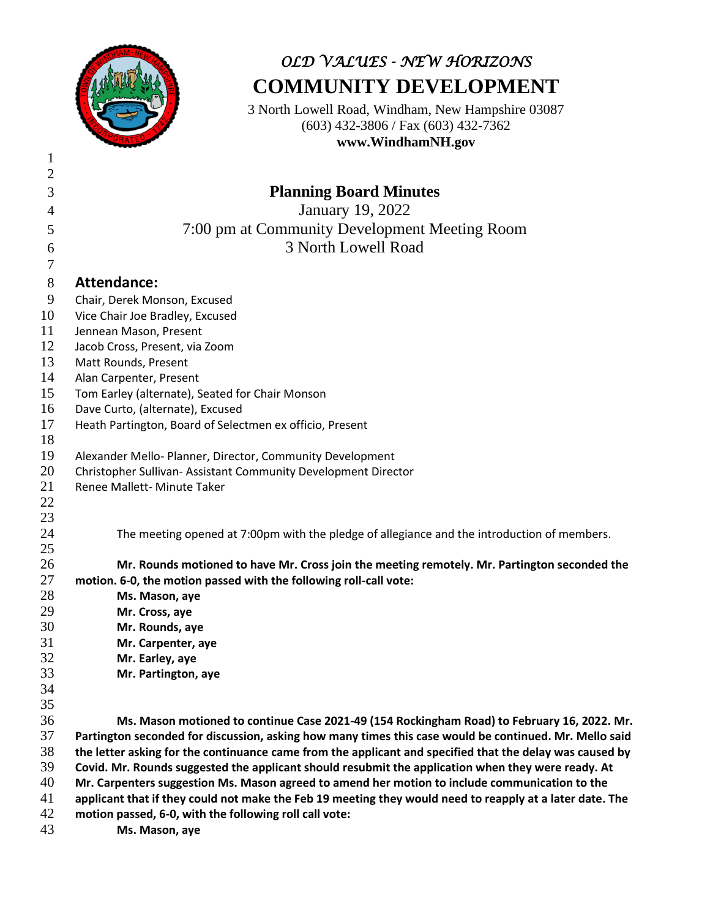

# *OLD VALUES - NEW HORIZONS* **COMMUNITY DEVELOPMENT**

3 North Lowell Road, Windham, New Hampshire 03087 (603) 432-3806 / Fax (603) 432-7362 **www.WindhamNH.gov**

| $\mathbf{1}$ |                                                                                                          |
|--------------|----------------------------------------------------------------------------------------------------------|
| 2            |                                                                                                          |
| 3            | <b>Planning Board Minutes</b>                                                                            |
| 4            | <b>January 19, 2022</b>                                                                                  |
| 5            | 7:00 pm at Community Development Meeting Room                                                            |
| 6            | 3 North Lowell Road                                                                                      |
| 7            |                                                                                                          |
| $8\,$        | <b>Attendance:</b>                                                                                       |
| 9            | Chair, Derek Monson, Excused                                                                             |
| 10           | Vice Chair Joe Bradley, Excused                                                                          |
| 11           | Jennean Mason, Present                                                                                   |
| 12           | Jacob Cross, Present, via Zoom                                                                           |
| 13           | Matt Rounds, Present                                                                                     |
| 14           | Alan Carpenter, Present                                                                                  |
| 15           | Tom Earley (alternate), Seated for Chair Monson                                                          |
| 16           | Dave Curto, (alternate), Excused                                                                         |
| 17           | Heath Partington, Board of Selectmen ex officio, Present                                                 |
| 18           |                                                                                                          |
| 19           | Alexander Mello- Planner, Director, Community Development                                                |
| 20           | Christopher Sullivan- Assistant Community Development Director                                           |
| 21           | Renee Mallett- Minute Taker                                                                              |
| 22           |                                                                                                          |
| 23           |                                                                                                          |
| 24           | The meeting opened at 7:00pm with the pledge of allegiance and the introduction of members.              |
| 25           |                                                                                                          |
| 26           | Mr. Rounds motioned to have Mr. Cross join the meeting remotely. Mr. Partington seconded the             |
| 27           | motion. 6-0, the motion passed with the following roll-call vote:                                        |
| 28           | Ms. Mason, aye                                                                                           |
| 29           | Mr. Cross, aye                                                                                           |
| 30           | Mr. Rounds, aye                                                                                          |
| 31           | Mr. Carpenter, aye                                                                                       |
| 32           | Mr. Earley, aye                                                                                          |
| 33           | Mr. Partington, aye                                                                                      |
| 34           |                                                                                                          |
| 35           |                                                                                                          |
| 36           | Ms. Mason motioned to continue Case 2021-49 (154 Rockingham Road) to February 16, 2022. Mr.              |
| 37           | Partington seconded for discussion, asking how many times this case would be continued. Mr. Mello said   |
| 38           | the letter asking for the continuance came from the applicant and specified that the delay was caused by |
| 39           | Covid. Mr. Rounds suggested the applicant should resubmit the application when they were ready. At       |
| 40           | Mr. Carpenters suggestion Ms. Mason agreed to amend her motion to include communication to the           |
| 41           | applicant that if they could not make the Feb 19 meeting they would need to reapply at a later date. The |
| 42           | motion passed, 6-0, with the following roll call vote:                                                   |
| 43           | Ms. Mason, aye                                                                                           |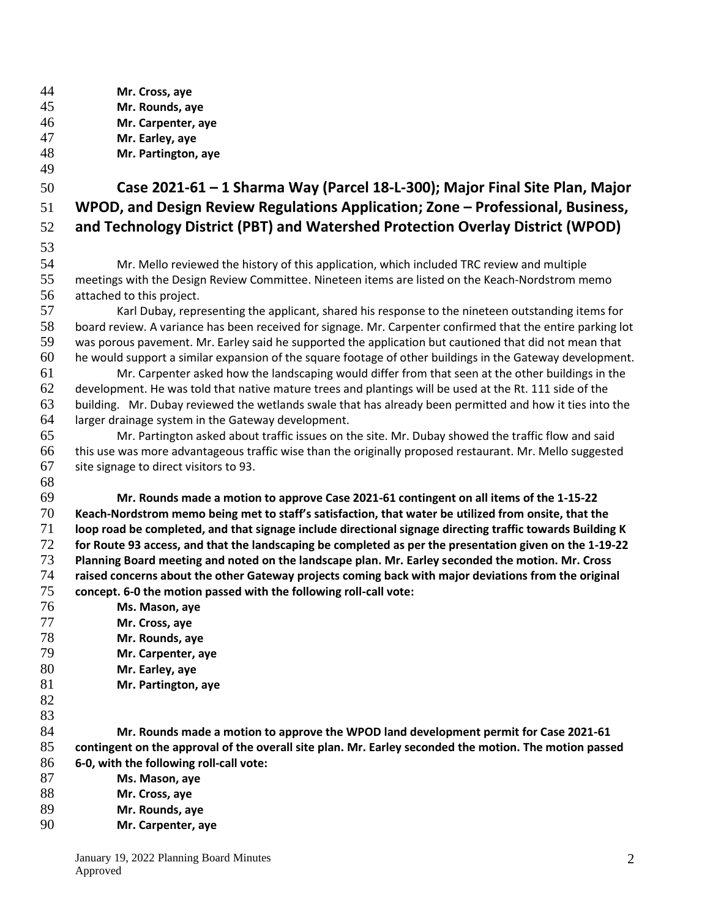| 44       | Mr. Cross, aye                                                                                              |
|----------|-------------------------------------------------------------------------------------------------------------|
| 45       | Mr. Rounds, aye                                                                                             |
| 46       | Mr. Carpenter, aye                                                                                          |
| 47       | Mr. Earley, aye                                                                                             |
| 48       | Mr. Partington, aye                                                                                         |
| 49       |                                                                                                             |
| 50       | Case 2021-61 - 1 Sharma Way (Parcel 18-L-300); Major Final Site Plan, Major                                 |
| 51       | WPOD, and Design Review Regulations Application; Zone - Professional, Business,                             |
| 52       | and Technology District (PBT) and Watershed Protection Overlay District (WPOD)                              |
| 53       |                                                                                                             |
| 54       | Mr. Mello reviewed the history of this application, which included TRC review and multiple                  |
| 55       | meetings with the Design Review Committee. Nineteen items are listed on the Keach-Nordstrom memo            |
| 56       | attached to this project.                                                                                   |
| 57       | Karl Dubay, representing the applicant, shared his response to the nineteen outstanding items for           |
| 58       | board review. A variance has been received for signage. Mr. Carpenter confirmed that the entire parking lot |
| 59       | was porous pavement. Mr. Earley said he supported the application but cautioned that did not mean that      |
| 60       | he would support a similar expansion of the square footage of other buildings in the Gateway development.   |
| 61       | Mr. Carpenter asked how the landscaping would differ from that seen at the other buildings in the           |
| 62       | development. He was told that native mature trees and plantings will be used at the Rt. 111 side of the     |
| 63       | building. Mr. Dubay reviewed the wetlands swale that has already been permitted and how it ties into the    |
| 64       | larger drainage system in the Gateway development.                                                          |
| 65       | Mr. Partington asked about traffic issues on the site. Mr. Dubay showed the traffic flow and said           |
| 66       | this use was more advantageous traffic wise than the originally proposed restaurant. Mr. Mello suggested    |
| 67       | site signage to direct visitors to 93.                                                                      |
| 68       |                                                                                                             |
| 69       | Mr. Rounds made a motion to approve Case 2021-61 contingent on all items of the 1-15-22                     |
| 70       | Keach-Nordstrom memo being met to staff's satisfaction, that water be utilized from onsite, that the        |
| 71       | loop road be completed, and that signage include directional signage directing traffic towards Building K   |
| 72       | for Route 93 access, and that the landscaping be completed as per the presentation given on the 1-19-22     |
| 73       | Planning Board meeting and noted on the landscape plan. Mr. Earley seconded the motion. Mr. Cross           |
| 74       | raised concerns about the other Gateway projects coming back with major deviations from the original        |
| 75       | concept. 6-0 the motion passed with the following roll-call vote:                                           |
| 76       | Ms. Mason, aye                                                                                              |
| 77       | Mr. Cross, aye                                                                                              |
| 78       | Mr. Rounds, aye                                                                                             |
| 79<br>80 | Mr. Carpenter, aye                                                                                          |
| 81       | Mr. Earley, aye<br>Mr. Partington, aye                                                                      |
| 82       |                                                                                                             |
| 83       |                                                                                                             |
| 84       | Mr. Rounds made a motion to approve the WPOD land development permit for Case 2021-61                       |
| 85       | contingent on the approval of the overall site plan. Mr. Earley seconded the motion. The motion passed      |
| 86       | 6-0, with the following roll-call vote:                                                                     |
| 87       | Ms. Mason, aye                                                                                              |
| 88       | Mr. Cross, aye                                                                                              |
| 89       | Mr. Rounds, aye                                                                                             |
| 90       | Mr. Carpenter, aye                                                                                          |
|          |                                                                                                             |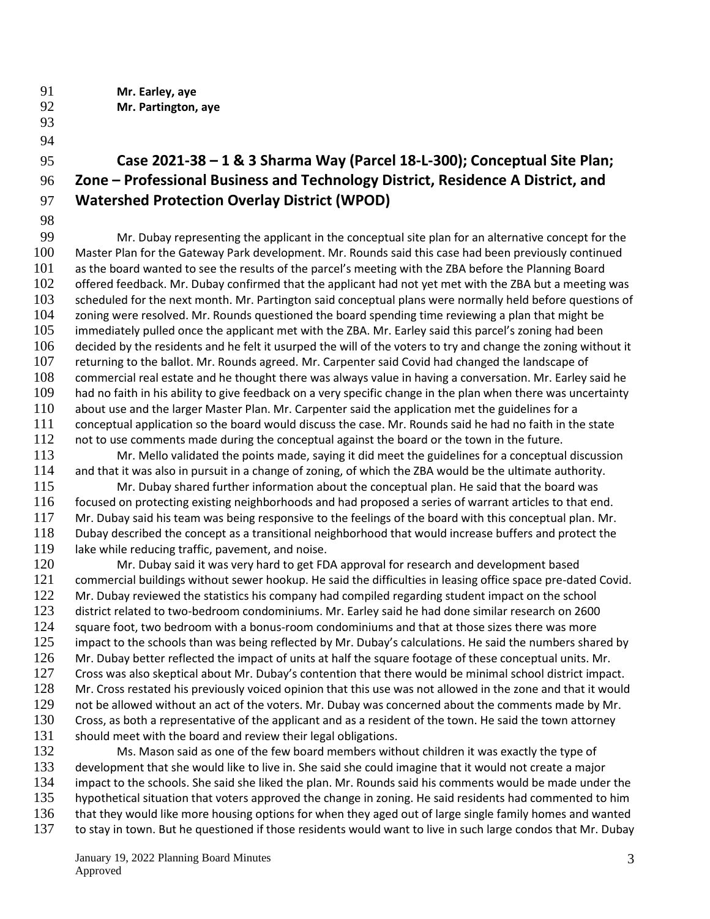- **Mr. Earley, aye**
- **Mr. Partington, aye**
- 

#### **Case 2021-38 – 1 & 3 Sharma Way (Parcel 18-L-300); Conceptual Site Plan; Zone – Professional Business and Technology District, Residence A District, and Watershed Protection Overlay District (WPOD)**

 Mr. Dubay representing the applicant in the conceptual site plan for an alternative concept for the Master Plan for the Gateway Park development. Mr. Rounds said this case had been previously continued 101 as the board wanted to see the results of the parcel's meeting with the ZBA before the Planning Board offered feedback. Mr. Dubay confirmed that the applicant had not yet met with the ZBA but a meeting was scheduled for the next month. Mr. Partington said conceptual plans were normally held before questions of zoning were resolved. Mr. Rounds questioned the board spending time reviewing a plan that might be immediately pulled once the applicant met with the ZBA. Mr. Earley said this parcel's zoning had been decided by the residents and he felt it usurped the will of the voters to try and change the zoning without it returning to the ballot. Mr. Rounds agreed. Mr. Carpenter said Covid had changed the landscape of commercial real estate and he thought there was always value in having a conversation. Mr. Earley said he had no faith in his ability to give feedback on a very specific change in the plan when there was uncertainty about use and the larger Master Plan. Mr. Carpenter said the application met the guidelines for a conceptual application so the board would discuss the case. Mr. Rounds said he had no faith in the state 112 not to use comments made during the conceptual against the board or the town in the future.

- Mr. Mello validated the points made, saying it did meet the guidelines for a conceptual discussion and that it was also in pursuit in a change of zoning, of which the ZBA would be the ultimate authority.
- Mr. Dubay shared further information about the conceptual plan. He said that the board was focused on protecting existing neighborhoods and had proposed a series of warrant articles to that end. Mr. Dubay said his team was being responsive to the feelings of the board with this conceptual plan. Mr. Dubay described the concept as a transitional neighborhood that would increase buffers and protect the 119 lake while reducing traffic, pavement, and noise.
- Mr. Dubay said it was very hard to get FDA approval for research and development based commercial buildings without sewer hookup. He said the difficulties in leasing office space pre-dated Covid. 122 Mr. Dubay reviewed the statistics his company had compiled regarding student impact on the school district related to two-bedroom condominiums. Mr. Earley said he had done similar research on 2600 124 square foot, two bedroom with a bonus-room condominiums and that at those sizes there was more 125 impact to the schools than was being reflected by Mr. Dubay's calculations. He said the numbers shared by Mr. Dubay better reflected the impact of units at half the square footage of these conceptual units. Mr. Cross was also skeptical about Mr. Dubay's contention that there would be minimal school district impact. 128 Mr. Cross restated his previously voiced opinion that this use was not allowed in the zone and that it would not be allowed without an act of the voters. Mr. Dubay was concerned about the comments made by Mr. Cross, as both a representative of the applicant and as a resident of the town. He said the town attorney 131 should meet with the board and review their legal obligations.
- 132 Ms. Mason said as one of the few board members without children it was exactly the type of development that she would like to live in. She said she could imagine that it would not create a major impact to the schools. She said she liked the plan. Mr. Rounds said his comments would be made under the 135 hypothetical situation that voters approved the change in zoning. He said residents had commented to him that they would like more housing options for when they aged out of large single family homes and wanted 137 to stay in town. But he questioned if those residents would want to live in such large condos that Mr. Dubay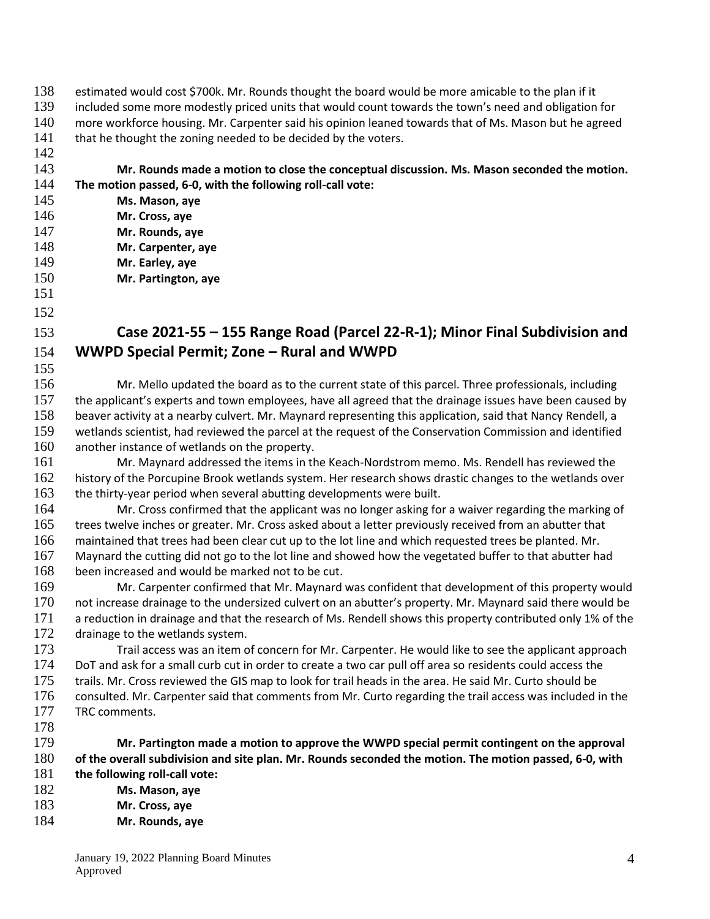- estimated would cost \$700k. Mr. Rounds thought the board would be more amicable to the plan if it
- included some more modestly priced units that would count towards the town's need and obligation for
- more workforce housing. Mr. Carpenter said his opinion leaned towards that of Ms. Mason but he agreed
- 141 that he thought the zoning needed to be decided by the voters.
- **Mr. Rounds made a motion to close the conceptual discussion. Ms. Mason seconded the motion. The motion passed, 6-0, with the following roll-call vote:**
- **Ms. Mason, aye**
- **Mr. Cross, aye**
- **Mr. Rounds, aye**
- **Mr. Carpenter, aye Mr. Earley, aye**
- **Mr. Partington, aye**
- 
- 

### **Case 2021-55 – 155 Range Road (Parcel 22-R-1); Minor Final Subdivision and WWPD Special Permit; Zone – Rural and WWPD**

- Mr. Mello updated the board as to the current state of this parcel. Three professionals, including the applicant's experts and town employees, have all agreed that the drainage issues have been caused by beaver activity at a nearby culvert. Mr. Maynard representing this application, said that Nancy Rendell, a wetlands scientist, had reviewed the parcel at the request of the Conservation Commission and identified another instance of wetlands on the property.
- Mr. Maynard addressed the items in the Keach-Nordstrom memo. Ms. Rendell has reviewed the 162 history of the Porcupine Brook wetlands system. Her research shows drastic changes to the wetlands over 163 the thirty-year period when several abutting developments were built.
- Mr. Cross confirmed that the applicant was no longer asking for a waiver regarding the marking of 165 trees twelve inches or greater. Mr. Cross asked about a letter previously received from an abutter that maintained that trees had been clear cut up to the lot line and which requested trees be planted. Mr. Maynard the cutting did not go to the lot line and showed how the vegetated buffer to that abutter had been increased and would be marked not to be cut.
- Mr. Carpenter confirmed that Mr. Maynard was confident that development of this property would not increase drainage to the undersized culvert on an abutter's property. Mr. Maynard said there would be 171 a reduction in drainage and that the research of Ms. Rendell shows this property contributed only 1% of the 172 drainage to the wetlands system.
- Trail access was an item of concern for Mr. Carpenter. He would like to see the applicant approach DoT and ask for a small curb cut in order to create a two car pull off area so residents could access the trails. Mr. Cross reviewed the GIS map to look for trail heads in the area. He said Mr. Curto should be consulted. Mr. Carpenter said that comments from Mr. Curto regarding the trail access was included in the 177 TRC comments.
- 

 **Mr. Partington made a motion to approve the WWPD special permit contingent on the approval of the overall subdivision and site plan. Mr. Rounds seconded the motion. The motion passed, 6-0, with the following roll-call vote:**

- **Ms. Mason, aye**
- **Mr. Cross, aye**
- **Mr. Rounds, aye**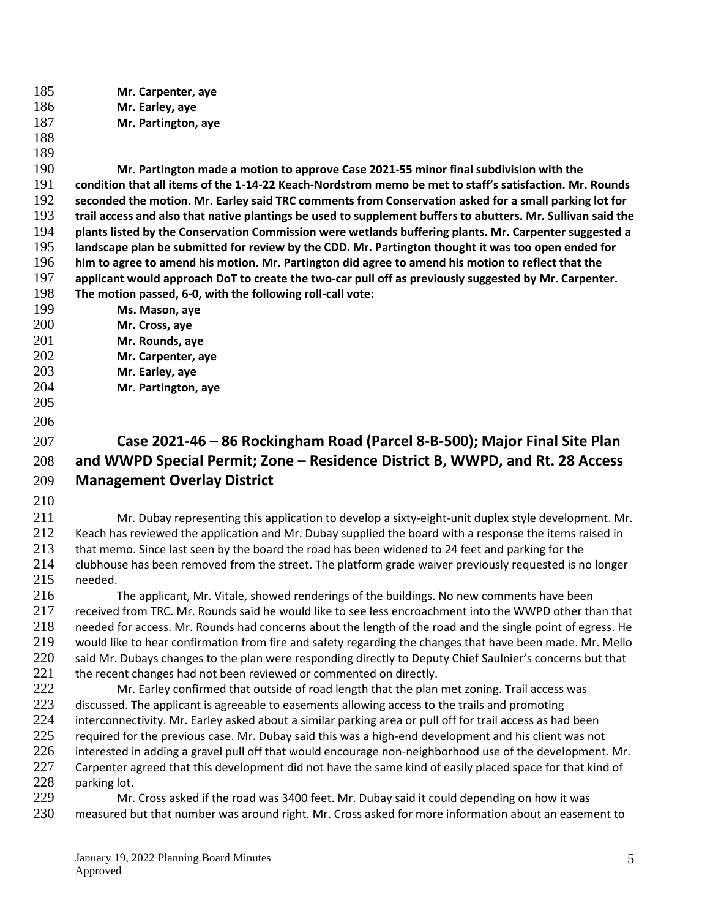**Mr. Carpenter, aye Mr. Earley, aye**

- **Mr. Partington, aye**
- 

 **Mr. Partington made a motion to approve Case 2021-55 minor final subdivision with the condition that all items of the 1-14-22 Keach-Nordstrom memo be met to staff's satisfaction. Mr. Rounds seconded the motion. Mr. Earley said TRC comments from Conservation asked for a small parking lot for trail access and also that native plantings be used to supplement buffers to abutters. Mr. Sullivan said the plants listed by the Conservation Commission were wetlands buffering plants. Mr. Carpenter suggested a landscape plan be submitted for review by the CDD. Mr. Partington thought it was too open ended for him to agree to amend his motion. Mr. Partington did agree to amend his motion to reflect that the applicant would approach DoT to create the two-car pull off as previously suggested by Mr. Carpenter. The motion passed, 6-0, with the following roll-call vote:** 

- **Ms. Mason, aye**
- **Mr. Cross, aye**
- **Mr. Rounds, aye**
- **Mr. Carpenter, aye**
- **Mr. Earley, aye**
- **Mr. Partington, aye**
- 

## **Case 2021-46 – 86 Rockingham Road (Parcel 8-B-500); Major Final Site Plan and WWPD Special Permit; Zone – Residence District B, WWPD, and Rt. 28 Access Management Overlay District**

 Mr. Dubay representing this application to develop a sixty-eight-unit duplex style development. Mr. Keach has reviewed the application and Mr. Dubay supplied the board with a response the items raised in 213 that memo. Since last seen by the board the road has been widened to 24 feet and parking for the clubhouse has been removed from the street. The platform grade waiver previously requested is no longer needed.

 The applicant, Mr. Vitale, showed renderings of the buildings. No new comments have been received from TRC. Mr. Rounds said he would like to see less encroachment into the WWPD other than that needed for access. Mr. Rounds had concerns about the length of the road and the single point of egress. He would like to hear confirmation from fire and safety regarding the changes that have been made. Mr. Mello 220 said Mr. Dubays changes to the plan were responding directly to Deputy Chief Saulnier's concerns but that 221 the recent changes had not been reviewed or commented on directly.

222 Mr. Earley confirmed that outside of road length that the plan met zoning. Trail access was 223 discussed. The applicant is agreeable to easements allowing access to the trails and promoting 224 interconnectivity. Mr. Earley asked about a similar parking area or pull off for trail access as had been 225 required for the previous case. Mr. Dubay said this was a high-end development and his client was not interested in adding a gravel pull off that would encourage non-neighborhood use of the development. Mr. 227 Carpenter agreed that this development did not have the same kind of easily placed space for that kind of parking lot.

 Mr. Cross asked if the road was 3400 feet. Mr. Dubay said it could depending on how it was measured but that number was around right. Mr. Cross asked for more information about an easement to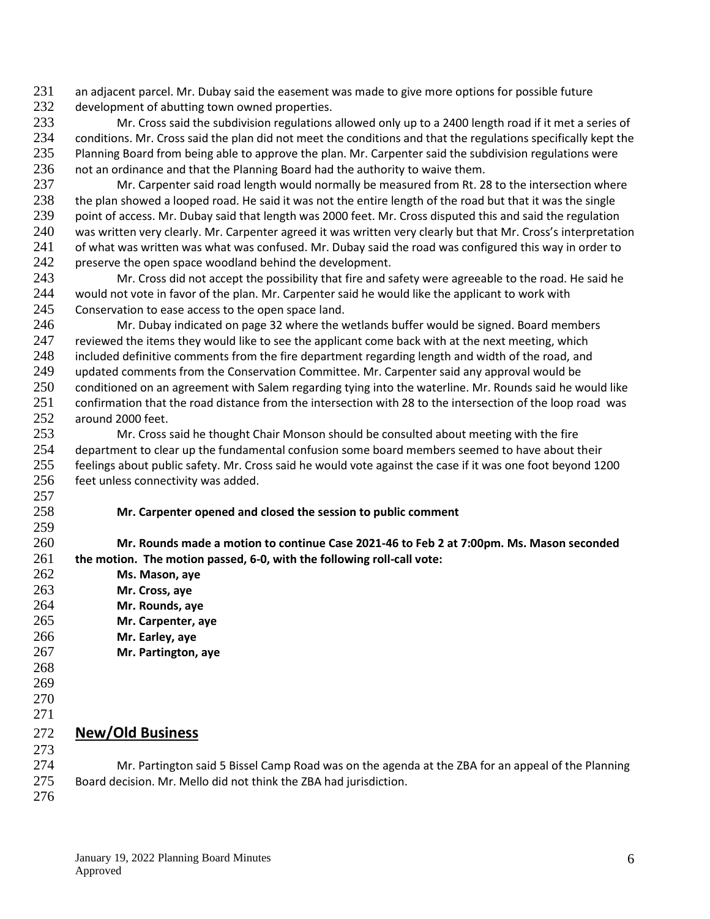231 an adjacent parcel. Mr. Dubay said the easement was made to give more options for possible future

232 development of abutting town owned properties.<br>233 Mr. Cross said the subdivision regulations 233 Mr. Cross said the subdivision regulations allowed only up to a 2400 length road if it met a series of 234 conditions. Mr. Cross said the plan did not meet the conditions and that the regulations specifically kept the<br>235 Planning Board from being able to approve the plan. Mr. Carpenter said the subdivision regulations were Planning Board from being able to approve the plan. Mr. Carpenter said the subdivision regulations were 236 not an ordinance and that the Planning Board had the authority to waive them.

237 Mr. Carpenter said road length would normally be measured from Rt. 28 to the intersection where 238 the plan showed a looped road. He said it was not the entire length of the road but that it was the single 239 point of access. Mr. Dubay said that length was 2000 feet. Mr. Cross disputed this and said the regulation 240 was written very clearly. Mr. Carpenter agreed it was written very clearly but that Mr. Cross's interpretation 241 of what was written was what was confused. Mr. Dubay said the road was configured this way in order to 242 preserve the open space woodland behind the development.

243 Mr. Cross did not accept the possibility that fire and safety were agreeable to the road. He said he 244 would not vote in favor of the plan. Mr. Carpenter said he would like the applicant to work with 245 Conservation to ease access to the open space land.

246 Mr. Dubay indicated on page 32 where the wetlands buffer would be signed. Board members 247 reviewed the items they would like to see the applicant come back with at the next meeting, which 248 included definitive comments from the fire department regarding length and width of the road, and 249 updated comments from the Conservation Committee. Mr. Carpenter said any approval would be 250 conditioned on an agreement with Salem regarding tying into the waterline. Mr. Rounds said he would like 251 confirmation that the road distance from the intersection with 28 to the intersection of the loop road was 252 around 2000 feet.

253 Mr. Cross said he thought Chair Monson should be consulted about meeting with the fire 254 department to clear up the fundamental confusion some board members seemed to have about their 255 feelings about public safety. Mr. Cross said he would vote against the case if it was one foot beyond 1200 256 feet unless connectivity was added. 257

258 **Mr. Carpenter opened and closed the session to public comment**

260 **Mr. Rounds made a motion to continue Case 2021-46 to Feb 2 at 7:00pm. Ms. Mason seconded**  261 **the motion. The motion passed, 6-0, with the following roll-call vote:**

- 262 **Ms. Mason, aye** 263 **Mr. Cross, aye**
- 264 **Mr. Rounds, aye**
- 265 **Mr. Carpenter, aye**
- 266 **Mr. Earley, aye**
- 267 **Mr. Partington, aye**
- 268

259

- 269
- 270
- 271

#### 272 **New/Old Business** 273

274 Mr. Partington said 5 Bissel Camp Road was on the agenda at the ZBA for an appeal of the Planning 275 Board decision. Mr. Mello did not think the ZBA had jurisdiction.

276